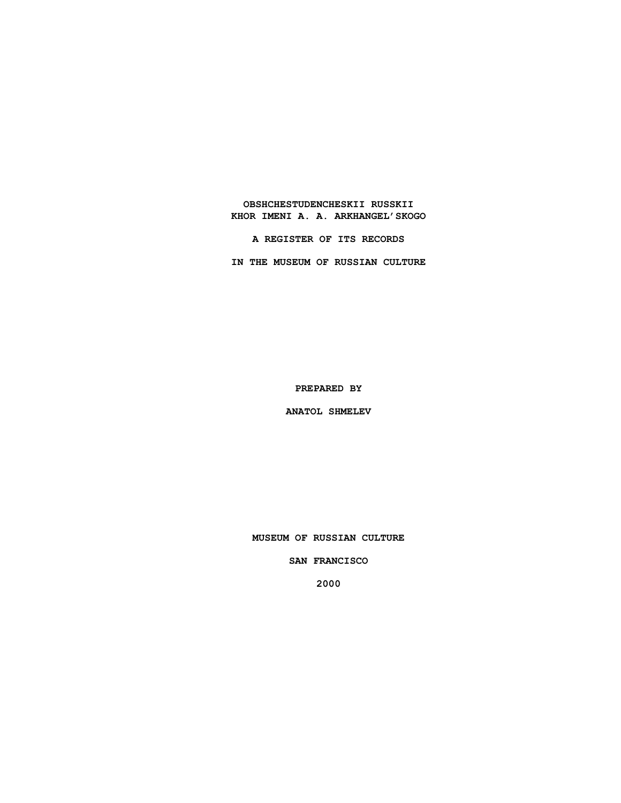**OBSHCHESTUDENCHESKII RUSSKII KHOR IMENI A. A. ARKHANGEL'SKOGO**

**A REGISTER OF ITS RECORDS**

**IN THE MUSEUM OF RUSSIAN CULTURE**

**PREPARED BY**

**ANATOL SHMELEV**

**MUSEUM OF RUSSIAN CULTURE**

**SAN FRANCISCO**

**2000**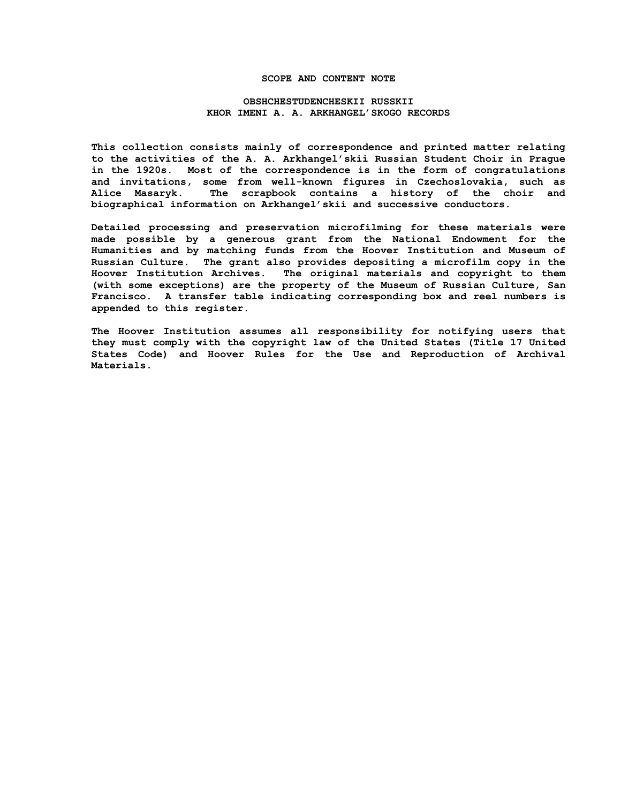### **SCOPE AND CONTENT NOTE**

## **OBSHCHESTUDENCHESKII RUSSKII KHOR IMENI A. A. ARKHANGEL'SKOGO RECORDS**

**This collection consists mainly of correspondence and printed matter relating to the activities of the A. A. Arkhangel'skii Russian Student Choir in Prague in the 1920s. Most of the correspondence is in the form of congratulations and invitations, some from well-known figures in Czechoslovakia, such as Alice Masaryk. The scrapbook contains a history of the choir and biographical information on Arkhangel'skii and successive conductors.**

**Detailed processing and preservation microfilming for these materials were made possible by a generous grant from the National Endowment for the Humanities and by matching funds from the Hoover Institution and Museum of Russian Culture. The grant also provides depositing a microfilm copy in the Hoover Institution Archives. The original materials and copyright to them (with some exceptions) are the property of the Museum of Russian Culture, San Francisco. A transfer table indicating corresponding box and reel numbers is appended to this register.**

**The Hoover Institution assumes all responsibility for notifying users that they must comply with the copyright law of the United States (Title 17 United States Code) and Hoover Rules for the Use and Reproduction of Archival Materials.**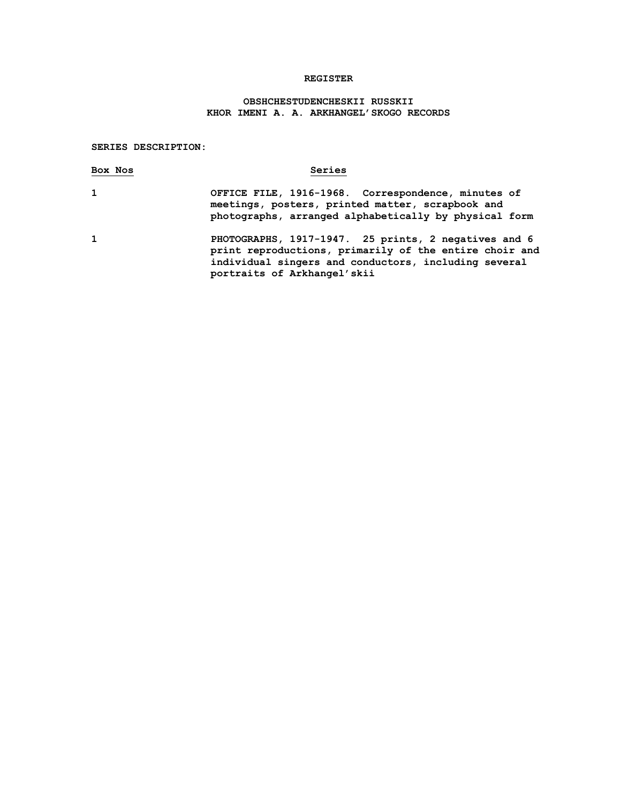### **REGISTER**

# **OBSHCHESTUDENCHESKII RUSSKII KHOR IMENI A. A. ARKHANGEL'SKOGO RECORDS**

#### **SERIES DESCRIPTION:**

| Box Nos      | Series                                                                                                                                                                                                                  |
|--------------|-------------------------------------------------------------------------------------------------------------------------------------------------------------------------------------------------------------------------|
| $\mathbf{1}$ | OFFICE FILE, 1916-1968. Correspondence, minutes of<br>meetings, posters, printed matter, scrapbook and<br>photographs, arranged alphabetically by physical form                                                         |
|              | $\overline{\mathbf{A}}$ $\overline{\mathbf{B}}$ and $\overline{\mathbf{A}}$ and $\overline{\mathbf{A}}$ and $\overline{\mathbf{A}}$ and $\overline{\mathbf{A}}$ and $\overline{\mathbf{A}}$ and $\overline{\mathbf{A}}$ |

**1 PHOTOGRAPHS, 1917-1947. 25 prints, 2 negatives and 6 print reproductions, primarily of the entire choir and individual singers and conductors, including several portraits of Arkhangel'skii**